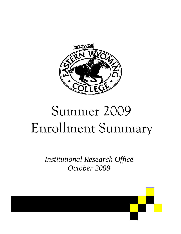

# Summer 2009 Enrollment Summary

*Institutional Research Office October 2009* 

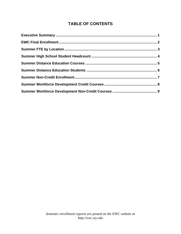## **TABLE OF CONTENTS**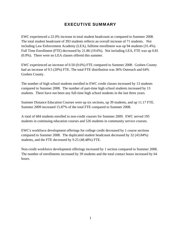#### EXECUTIVE SUMMARY

EWC experienced a 22.0% increase in total student headcount as compared to Summer 2008. The total student headcount of 393 students reflects an overall increase of 71 students. Not including Law Enforcement Academy (LEA), fulltime enrollment was up 94 students (31.4%). Full Time Enrollment (FTE) decreased by 21.86 (19.6%). Not including LEA, FTE was up 0.81 (0.9%). There were no LEA classes offered this summer.

EWC experienced an increase of 0.50 (0.6%) FTE compared to Summer 2008. Goshen County had an increase of 9.5 (20%) FTE. The total FTE distribution was 36% Outreach and 64% Goshen County.

The number of high school students enrolled in EWC credit classes increased by 13 students compared to Summer 2008. The number of part-time high school students increased by 13 students. There have not been any full-time high school students in the last three years.

Summer Distance Education Courses were up six sections, up 39 students, and up 11.17 FTE. Summer 2009 increased 15.87% of the total FTE compared to Summer 2008.

A total of 684 students enrolled in non-credit courses for Summer 2009. EWC served 195 students in continuing education courses and 526 students in community service courses.

EWC's workforce development offerings for college credit decreased by 1 course sections compared to Summer 2008. The duplicated student headcount decreased by 32 (43.84%) students, and the FTE decreased by 9.25 (48.48%) FTE.

Non-credit workforce development offerings increased by 1 section compared to Summer 2008. The number of enrollments increased by 39 students and the total contact hours increased by 64 hours.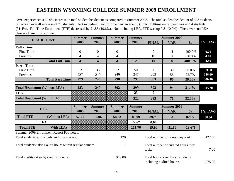# **EASTERN WYOMING COLLEGE SUMMER 2009 ENROLLMENT**

EWC experienced a 22.0% increase in total student headcount as compared to Summer 2008. The total student headcount of 393 students reflects an overall increase of 71 students. Not including Law Enforcement Academy (LEA), fulltime enrollment was up 94 students (31.4%). Full Time Enrollment (FTE) decreased by 21.86 (19.6%). Not including LEA, FTE was up 0.81 (0.9%). There were no LEA classes offered this summer.

|                                                           | <b>Summer</b>           | <b>Summer</b>           | <b>Summer</b>           | <b>Summer</b>  | <b>Summer 2009</b>                                            |                                  |               |                  |
|-----------------------------------------------------------|-------------------------|-------------------------|-------------------------|----------------|---------------------------------------------------------------|----------------------------------|---------------|------------------|
| <b>HEADCOUNT</b>                                          | 2005                    | 2006                    | 2007                    | 2008           | <b>FINAL</b>                                                  | <b>VAR</b>                       | $\frac{0}{0}$ | <b>5 Yr. AVG</b> |
| <b>Full - Time</b>                                        |                         |                         |                         |                |                                                               |                                  |               |                  |
| <b>First Time</b>                                         | $\boldsymbol{0}$        | $\overline{0}$          | $\boldsymbol{0}$        | $\mathbf{1}$   | $\overline{0}$                                                | $-1$                             | $-100.0\%$    | 0.20             |
| Previous                                                  | 4                       | $\overline{4}$          | $\overline{4}$          | $\mathbf{1}$   | 10                                                            | 9                                | 900.0%        | 4.60             |
| <b>Total Full Time</b>                                    | $\overline{\mathbf{4}}$ | $\overline{\mathbf{4}}$ | $\overline{\mathbf{4}}$ | $\overline{2}$ | 10                                                            | 8                                | 400.0%        | 4.80             |
| <b>Part - Time</b>                                        |                         |                         |                         |                |                                                               |                                  |               |                  |
| <b>First Time</b>                                         | 52                      | 35                      | 52                      | 50             | 80                                                            | 30                               | 60.0%         | 53.80            |
| Previous                                                  | 227                     | 210                     | 246                     | 247            | 303                                                           | 56                               | 22.7%         | 246.60           |
| <b>Total Part Time</b>                                    | 279                     | 245                     | 298                     | 297            | 383                                                           | 86                               | 29.0%         | 300.40           |
|                                                           |                         |                         |                         |                |                                                               |                                  |               |                  |
| <b>Total Headcount (Without LEA)</b>                      | 283                     | 249                     | 302                     | 299            | 393                                                           | 94                               | 31.4%         | 305.20           |
| <b>LEA</b>                                                |                         |                         |                         | 23             | $\mathbf{0}$                                                  |                                  |               |                  |
| <b>Total Headcount (With LEA)</b>                         |                         |                         |                         | 322            | 393                                                           | 71                               | 22.0%         |                  |
|                                                           | <b>Summer</b>           | <b>Summer</b>           | <b>Summer</b>           | <b>Summer</b>  | <b>Summer 2009</b>                                            |                                  |               |                  |
| <b>FTE</b>                                                | 2005                    | 2006                    | 2007                    | 2008           | <b>FINAL</b>                                                  | <b>VAR</b>                       | $\frac{6}{6}$ | <b>5 Yr. AVG</b> |
| <b>Total FTE</b><br>(Without LEA)                         | 57.71                   | 52.96                   | 54.63                   | 89.09          | 89.90                                                         | 0.81                             | 0.9%          | 68.86            |
| <b>LEA</b>                                                |                         |                         |                         | 22.67          | 0.00                                                          |                                  |               |                  |
| <b>Total FTE</b><br>(With LEA)                            |                         |                         |                         | 111.76         | 89.90                                                         | $-21.86$                         | $-19.6%$      |                  |
| Summer 2009 Enrollment Report Footnotes:                  |                         |                         |                         |                |                                                               |                                  |               |                  |
| Total students exclusively auditing classes:              |                         |                         | 120                     |                |                                                               | Total number of hours they took: |               | 122.00           |
| Total students taking audit hours within regular courses: |                         |                         | $\overline{7}$          |                | Total number of audited hours they<br>took:                   |                                  |               | 7.00             |
| Total credits taken by credit students:                   |                         |                         | 946.00                  |                | Total hours taken by all students<br>including audited hours: |                                  | 1,075.00      |                  |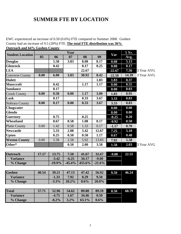# **SUMMER FTE BY LOCATION**

EWC experienced an increase of 0.50 (0.6%) FTE compared to Summer 2008. Goshen County had an increase of 9.5 (20%) FTE. **The total FTE distribution was 36% Outreach and 64% Goshen County**.

| <u> Outreach and 0470 Goshen County.</u> |                |          | Year     |        |          |          | 5 Yr. |            |
|------------------------------------------|----------------|----------|----------|--------|----------|----------|-------|------------|
| <b>Student Location</b>                  | 0 <sub>5</sub> | 06       | 07       | 08     | 09       | Var      | Avg.  |            |
| <b>Douglas</b>                           |                | 5.58     | 3.83     | 8.08   | 8.17     | 0.08     | 5.13  |            |
| <b>Glenrock</b>                          |                | 0.42     |          | 0.17   | 0.25     | 0.08     | 0.17  |            |
| <b>LEA</b>                               |                |          |          | 22.67  |          | $-22.67$ | 7.56  | 3 Year AVG |
| <b>Converse County</b>                   | 0.00           | 6.00     | 3.83     | 30.92  | 8.42     | $-22.50$ | 14.39 | 3 Year AVG |
| <b>Hulett</b>                            |                |          |          |        | 1.83     | 1.83     | 0.37  |            |
| <b>Moorcroft</b>                         |                | 0.42     |          | 1.17   | 1.17     | 0.00     | 0.55  |            |
| <b>Sundance</b>                          |                | 0.17     |          |        |          | 0.00     | 0.03  |            |
| <b>Crook County</b>                      | 0.00           | 0.58     | 0.00     | 1.17   | 3.00     | 1.83     | 0.95  |            |
| Lusk                                     |                | 0.17     |          | 0.33   | 3.67     | 3.33     | 0.83  |            |
| Nobrara County                           | 0.00           | 0.17     | 0.00     | 0.33   | 3.67     | 3.33     | 0.83  |            |
| Chugwater                                |                |          |          |        |          | 0.00     | 0.00  |            |
| <b>Glendo</b>                            |                |          |          |        |          | 0.00     | 0.00  |            |
| <b>Guernsey</b>                          |                | 0.75     |          | 0.25   |          | $-0.25$  | 0.20  |            |
| Wheatland                                |                | 0.67     | 0.58     | 1.08   | 0.17     | $-0.92$  | 0.50  |            |
| <b>Platte County</b>                     | 0.00           | 1.42     | 0.58     | 1.33   | 0.17     | $-1.17$  | 0.70  |            |
| <b>Newcastle</b>                         |                | 5.33     | 2.08     | 5.42   | 12.67    | 7.25     | 5.10  |            |
| <b>Upton</b>                             |                | 0.25     | 0.50     | 0.50   | 1.17     | 0.67     | 0.48  |            |
| <b>Weston County</b>                     | 0.00           | 5.58     | 2.58     | 5.92   | 13.83    | 7.92     | 5.58  |            |
| Other*                                   |                |          | 0.50     | 2.00   | 3.58     | 1.58     | 2.03  | 3 Year AVG |
|                                          |                |          |          |        |          |          |       |            |
| <b>Outreach</b>                          | 17.17          | 13.75    | 7.50     | 41.67  | 32.67    | $-9.00$  | 22.55 |            |
| <b>Variance</b>                          |                | $-3.42$  | $-6.25$  | 34.17  | $-9.00$  |          |       |            |
| % Change                                 |                | $-19.9%$ | $-45.4%$ | 455.6% | $-21.6%$ |          |       |            |
|                                          |                |          |          |        |          |          |       |            |
| Goshen                                   | 40.54          | 39.21    | 47.13    | 47.42  | 56.92    | 9.50     | 46.24 |            |
| <b>Variance</b>                          |                | $-1.33$  | 7.92     | 0.29   | 9.50     |          |       |            |
| % Change                                 |                | $-3.3%$  | 20.2%    | 0.6%   | 20.0%    |          |       |            |
|                                          |                |          |          |        |          |          |       |            |
| <b>Total</b>                             | 57.71          | 52.96    | 54.62    | 89.08  | 89.59    | 0.50     | 68.79 |            |
| <b>Variance</b>                          |                | $-4.75$  | 1.67     | 34.46  | 0.50     |          |       |            |
| % Change                                 |                | $-8.2\%$ | 3.2%     | 63.1%  | 0.6%     |          |       |            |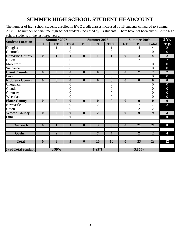# **SUMMER HIGH SCHOOL STUDENT HEADCOUNT**

The number of high school students enrolled in EWC credit classes increased by 13 students compared to Summer 2008. The number of part-time high school students increased by 13 students. There have not been any full-time high school students in the last three years.

| <b>Student Location</b>    |                         | <b>Summer 2007</b>      |                         |                         | <b>Summer 2008</b>      |                         |                         | <b>Summer 2009</b> |                         |                         |
|----------------------------|-------------------------|-------------------------|-------------------------|-------------------------|-------------------------|-------------------------|-------------------------|--------------------|-------------------------|-------------------------|
|                            | FT                      | <b>PT</b>               | <b>Total</b>            | <b>FT</b>               | <b>PT</b>               | <b>Total</b>            | FT                      | <b>PT</b>          | <b>Total</b>            | Avg.                    |
| Douglas                    |                         | 1                       | 1                       |                         | 1                       | 1                       |                         | 4                  | $\overline{4}$          | $\overline{2}$          |
| Glenrock                   |                         |                         | $\overline{0}$          |                         |                         | $\overline{0}$          |                         |                    | $\overline{0}$          | $\overline{0}$          |
| <b>Converse County</b>     | $\overline{\mathbf{0}}$ | $\mathbf{1}$            | $\mathbf{1}$            | $\overline{\mathbf{0}}$ | $\mathbf{1}$            | $\mathbf{1}$            | $\overline{\mathbf{0}}$ | 4                  | $\overline{\mathbf{4}}$ | $\overline{2}$          |
| Hulett                     |                         |                         | $\overline{0}$          |                         |                         | $\boldsymbol{0}$        |                         | $\overline{7}$     | 7                       | $\overline{2}$          |
| Moorcroft                  |                         |                         | $\boldsymbol{0}$        |                         |                         | $\overline{0}$          |                         |                    | $\overline{0}$          | $\overline{0}$          |
| Sundance                   |                         |                         | $\overline{0}$          |                         |                         | $\overline{0}$          |                         |                    | $\overline{0}$          | $\overline{0}$          |
| <b>Crook County</b>        | $\overline{0}$          | $\overline{\mathbf{0}}$ | $\overline{\mathbf{0}}$ | $\overline{0}$          | $\overline{0}$          | $\overline{\mathbf{0}}$ | $\overline{\mathbf{0}}$ | $\overline{7}$     | $\overline{7}$          | $\overline{2}$          |
| Lusk                       |                         |                         | $\boldsymbol{0}$        |                         |                         | $\overline{0}$          |                         |                    | $\overline{0}$          | $\overline{0}$          |
| <b>Niobrara County</b>     | $\overline{\mathbf{0}}$ | $\overline{\mathbf{0}}$ | $\boldsymbol{0}$        | $\overline{\mathbf{0}}$ | $\overline{\mathbf{0}}$ | $\overline{\mathbf{0}}$ | $\overline{\mathbf{0}}$ | $\boldsymbol{0}$   | $\overline{\mathbf{0}}$ | $\overline{\mathbf{0}}$ |
| Chugwater                  |                         |                         | $\overline{0}$          |                         |                         | $\overline{0}$          |                         |                    | $\overline{0}$          | $\overline{0}$          |
| Glendo                     |                         |                         | $\boldsymbol{0}$        |                         |                         | $\overline{0}$          |                         |                    | $\overline{0}$          | $\boldsymbol{0}$        |
| Guernsey                   |                         |                         | $\overline{0}$          |                         |                         | $\overline{0}$          |                         |                    | $\overline{0}$          | $\overline{0}$          |
| Wheatland                  |                         |                         | $\boldsymbol{0}$        |                         |                         | $\boldsymbol{0}$        |                         |                    | $\overline{0}$          | $\overline{0}$          |
| <b>Platte County</b>       | $\boldsymbol{0}$        | $\boldsymbol{0}$        | $\boldsymbol{0}$        | $\overline{\mathbf{0}}$ | $\boldsymbol{0}$        | $\boldsymbol{0}$        | $\boldsymbol{0}$        | $\bf{0}$           | $\overline{\mathbf{0}}$ | $\boldsymbol{0}$        |
| Newcastle                  |                         |                         | $\boldsymbol{0}$        |                         | $\overline{2}$          | $\overline{2}$          |                         | $\overline{7}$     | 7                       | 3                       |
| Upton                      |                         |                         | $\overline{0}$          |                         |                         | $\overline{0}$          |                         | $\overline{2}$     | $\overline{2}$          |                         |
| <b>Weston County</b>       | $\overline{\mathbf{0}}$ | $\overline{\mathbf{0}}$ | $\overline{\mathbf{0}}$ | $\overline{\mathbf{0}}$ | $\overline{2}$          | $\overline{2}$          | $\overline{\mathbf{0}}$ | $\overline{9}$     | $\overline{9}$          | $\overline{4}$          |
| <b>Other</b>               |                         |                         | $\boldsymbol{0}$        |                         |                         | $\overline{\mathbf{0}}$ |                         | $\mathbf{1}$       | $\overline{1}$          | $\boldsymbol{0}$        |
|                            |                         |                         |                         |                         |                         |                         |                         |                    |                         |                         |
| <b>Outreach</b>            | $\bf{0}$                | $\mathbf{1}$            | $\mathbf{1}$            | $\boldsymbol{0}$        | $\overline{3}$          | $\overline{3}$          | $\boldsymbol{0}$        | 21                 | 21                      | 8                       |
|                            |                         |                         |                         |                         |                         |                         |                         |                    |                         |                         |
| <b>Goshen</b>              |                         | $\overline{2}$          | $\overline{2}$          |                         | $\overline{7}$          | $\overline{7}$          |                         | $\overline{2}$     | $\overline{2}$          | 4                       |
|                            |                         |                         |                         |                         |                         |                         |                         |                    |                         |                         |
| <b>Total</b>               | $\boldsymbol{0}$        | $\overline{3}$          | $\overline{3}$          | $\boldsymbol{0}$        | 10                      | $\overline{10}$         | $\boldsymbol{0}$        | 23                 | $\overline{23}$         | 12                      |
|                            |                         |                         |                         |                         |                         |                         |                         |                    |                         |                         |
| <b>% of Total Students</b> |                         | $0.99\%$                |                         |                         | 8.95%                   |                         |                         | 5.85%              |                         |                         |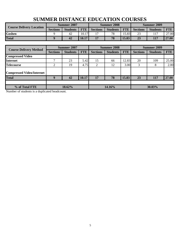| <u>DOMMER DID MATURE ED CONTINUM CO CIWED</u> |                 |                 |            |                 |                    |            |                 |                 |            |  |  |  |
|-----------------------------------------------|-----------------|-----------------|------------|-----------------|--------------------|------------|-----------------|-----------------|------------|--|--|--|
| <b>Course Delivery Location</b>               |                 | Summer 2007     |            |                 | <b>Summer 2008</b> |            | Summer 2009     |                 |            |  |  |  |
|                                               | <b>Sections</b> | <b>Students</b> | <b>FTE</b> | <b>Sections</b> | <b>Students</b>    | <b>FTE</b> | <b>Sections</b> | <b>Students</b> | <b>FTE</b> |  |  |  |
| <b>Goshen</b>                                 |                 | 42              | 10.17      | 17              | 78                 | 5.83       | 23              |                 | 27.00      |  |  |  |
| <b>Total</b>                                  |                 | 42              | 10.17      | 17              | 78                 | 15.83      | 23              | 117             | 27.00      |  |  |  |

# **SUMMER DISTANCE EDUCATION COURSES**

|                                  |                 | Summer 2007     |            |                 | <b>Summer 2008</b> |            | <b>Summer 2009</b> |                 |            |  |
|----------------------------------|-----------------|-----------------|------------|-----------------|--------------------|------------|--------------------|-----------------|------------|--|
| <b>Course Delivery Method</b>    | <b>Sections</b> | <b>Students</b> | <b>FTE</b> | <b>Sections</b> | <b>Students</b>    | <b>FTE</b> | <b>Sections</b>    | <b>Students</b> | <b>FTE</b> |  |
| <b>Compressed Video</b>          |                 |                 |            |                 |                    |            |                    |                 |            |  |
| <b>Internet</b>                  |                 | 23              | 5.42       | 15              | 66                 | 12.83      | 20                 | 109             | 25.00      |  |
| <b>Telecourse</b>                | ◠               | 19              | 4.75       | 2               | 12                 | 3.00       | 3                  | 8               | 2.00       |  |
| <b>Compressed Video/Internet</b> |                 |                 |            |                 |                    |            |                    |                 |            |  |
| <b>Total</b>                     | Q               | 42              | 10.17      | 17              | 78                 | 15.83      | 23                 | 117             | 27.00      |  |
|                                  |                 |                 |            |                 |                    |            |                    |                 |            |  |
| % of Total FTE                   |                 | 18.62%          |            |                 | 14.16%             |            |                    | 30.03%          |            |  |

Number of students is a duplicated headcount.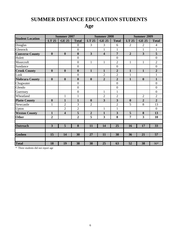# **SUMMER DISTANCE EDUCATION STUDENTS**

# **Age**

|                         |                         | <b>Summer 2007</b> |                  |                  | <b>Summer 2008</b>      |                         | <b>Summer 2009</b> |                         |                  |  |
|-------------------------|-------------------------|--------------------|------------------|------------------|-------------------------|-------------------------|--------------------|-------------------------|------------------|--|
| <b>Student Location</b> | LT 25                   | <b>GE 25</b>       | <b>Total</b>     | LT 25            | <b>GE 25</b>            | <b>Total</b>            | LT 25              | <b>GE 25</b>            | <b>Total</b>     |  |
| Douglas                 |                         |                    | $\boldsymbol{0}$ | 3                | 3                       | 6                       | $\overline{2}$     | $\overline{2}$          | $\overline{4}$   |  |
| Glenrock                |                         |                    | $\boldsymbol{0}$ |                  | $\mathbf{1}$            | $\mathbf{1}$            |                    | $\mathbf{1}$            | $\mathbf{1}$     |  |
| <b>Converse County</b>  | $\boldsymbol{0}$        | $\boldsymbol{0}$   | $\boldsymbol{0}$ | $\overline{3}$   | $\overline{\mathbf{4}}$ | $\overline{7}$          | $\overline{2}$     | $\overline{\mathbf{3}}$ | $\overline{5}$   |  |
| Hulett                  |                         |                    | $\boldsymbol{0}$ |                  |                         | $\boldsymbol{0}$        |                    |                         | $\boldsymbol{0}$ |  |
| Moorcroft               |                         |                    | $\boldsymbol{0}$ | $\mathbf{1}$     | $\mathbf{1}$            | $\overline{2}$          | $\mathbf{1}$       | $\mathbf{1}$            | $\overline{2}$   |  |
| Sundance                |                         |                    | $\boldsymbol{0}$ |                  |                         | $\boldsymbol{0}$        |                    |                         | $\boldsymbol{0}$ |  |
| <b>Crook County</b>     | $\boldsymbol{0}$        | $\mathbf{0}$       | $\boldsymbol{0}$ | $\mathbf{1}$     | $\mathbf{1}$            | $\overline{2}$          | $\mathbf{1}$       | $\mathbf{1}$            | $\overline{2}$   |  |
| Lusk                    |                         |                    | $\boldsymbol{0}$ |                  | $\overline{2}$          | $\overline{2}$          | $\mathbf{1}$       |                         | $\mathbf{1}$     |  |
| <b>Niobrara County</b>  | $\boldsymbol{0}$        | $\boldsymbol{0}$   | $\boldsymbol{0}$ | $\boldsymbol{0}$ | $\overline{2}$          | $\overline{2}$          | $\mathbf{1}$       | $\boldsymbol{0}$        | $\mathbf{1}$     |  |
| Chugwater               |                         |                    | $\boldsymbol{0}$ |                  |                         | $\boldsymbol{0}$        |                    |                         | $\boldsymbol{0}$ |  |
| Glendo                  |                         |                    | $\mathbf{0}$     |                  |                         | $\mathbf{0}$            |                    |                         | $\overline{0}$   |  |
| Guernsey                |                         |                    | $\boldsymbol{0}$ |                  | $\mathbf{1}$            | $\mathbf{1}$            |                    |                         | $\boldsymbol{0}$ |  |
| Wheatland               |                         | $\mathbf{1}$       | $\mathbf{1}$     |                  | $\overline{2}$          | $\overline{2}$          |                    | $\overline{2}$          | $\overline{2}$   |  |
| <b>Platte County</b>    | $\boldsymbol{0}$        | 1                  | $\mathbf{1}$     | $\boldsymbol{0}$ | 3                       | $\overline{\mathbf{3}}$ | $\boldsymbol{0}$   | $\overline{2}$          | $\overline{2}$   |  |
| Newcastle               | 1                       | $\overline{2}$     | 3                | $\overline{2}$   |                         | $\overline{2}$          | 5                  | 8                       | 13               |  |
| Upton                   |                         | $\overline{2}$     | $\overline{2}$   |                  | $\mathbf{1}$            | $\mathbf{1}$            |                    |                         | $\overline{0}$   |  |
| <b>Weston County</b>    | $\mathbf{1}$            | 4                  | 5                | $\boldsymbol{2}$ | $\mathbf{1}$            | $\overline{\mathbf{3}}$ | 5                  | 8                       | 13               |  |
| <b>Other</b>            | $\overline{2}$          |                    | $\overline{2}$   | 5                | $\overline{\mathbf{3}}$ | 8                       | $\overline{7}$     | $\overline{\mathbf{3}}$ | 10               |  |
|                         |                         |                    |                  |                  |                         |                         |                    |                         |                  |  |
| <b>Outreach</b>         | $\overline{\mathbf{3}}$ | 5                  | 8                | 11               | 14                      | 25                      | 16                 | 17                      | 33               |  |
|                         |                         |                    |                  |                  |                         |                         |                    |                         |                  |  |
| <b>Goshen</b>           | 15                      | 14                 | 30               | 27               | 11                      | 38                      | 36                 | 21                      | 57               |  |
|                         |                         |                    |                  |                  |                         |                         |                    |                         |                  |  |
| <b>Total</b>            | 18                      | 19                 | 38               | 38               | 25                      | 63                      | 52                 | 38                      | 90*              |  |

\* Three students did not report age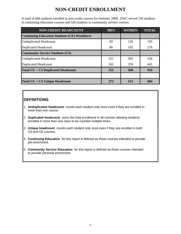## **NON-CREDIT ENROLLMENT**

A total of 684 students enrolled in non-credit courses for Summer 2009. EWC served 195 students in continuing education courses and 526 students in community service courses.

| <b>NON-CREDIT HEADCOUNT</b>                         | <b>MEN</b> | <b>WOMEN</b> | <b>TOTAL</b> |
|-----------------------------------------------------|------------|--------------|--------------|
| <b>Continuing Education Students (CE) Workforce</b> |            |              |              |
| <b>Unduplicated Headcount</b>                       | 69         | 126          | 195          |
| <b>Duplicated Headcount</b>                         | 86         | 192          | 278          |
| <b>Community Service Students (CS)</b>              |            |              |              |
| <b>Unduplicated Headcount</b>                       | 221        | 305          | 526          |
| <b>Duplicated Headcount</b>                         | 265        | 376          | 641          |
| <b>Total CE + CS Duplicated Headcount</b>           | 351        | 568          | 919          |
|                                                     |            |              |              |
| <b>Total CE + CS Unique Headcount</b>               | 272        | 412          | 684          |

### **DEFINITIONS**

- 1. **Unduplicated headcount** counts each student only once even if they are enrolled in more than one course.
- 2. **Duplicated headcount** sums the total enrollment in all courses allowing students enrolled in more than one class to be counted multiple times.
- 3. **Unique headcount** counts each student only once even if they are enrolled in both CS and CE courses.
- 4. **Continuing Education** for this report is defined as those courses intended to provide job enrichment.
- 5. **Community Service Education** for this report is defined as those courses intended to provide personal enrichment.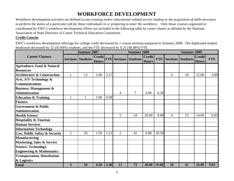# **WORKFORCE DEVELOPMENT**

Workforce development activities are defined as *any training and/or educational related service leading to the acquisition of skills necessary to perform the duties of a particular job for those individuals in or preparing to enter the workforce* . Only those courses organized or coordinated by EWC's workforce development efforts are included in the following table by career cluster as defined by the National Association of State Directors of Career Technical Education Consortium.

#### **Credit Courses**

EWC's workforce development offerings for college credit decreased by 1 course sections compared to Summer 2008. The duplicated student headcount decreased by 32 (43.84%) students, and the FTE decreased by 9.25 (48.48%) FTE.

|                                        | <b>Summer 2007</b> |                          |                               |      |                | <b>Summer 2008</b>           |                               |       |    | <b>Summer 2009</b>           |                               |            |
|----------------------------------------|--------------------|--------------------------|-------------------------------|------|----------------|------------------------------|-------------------------------|-------|----|------------------------------|-------------------------------|------------|
| <b>Career Clusters</b>                 |                    | <b>Sections Students</b> | <b>Credit</b><br><b>Hours</b> |      |                | <b>FTE Sections Students</b> | <b>Credit</b><br><b>Hours</b> |       |    | <b>FTE Sections Students</b> | <b>Credit</b><br><b>Hours</b> | <b>FTE</b> |
| <b>Agriculture, Food &amp; Natural</b> |                    |                          |                               |      |                |                              |                               |       |    |                              |                               |            |
| <b>Resources</b>                       |                    |                          |                               |      |                |                              |                               |       |    |                              |                               |            |
| <b>Architecture &amp; Construction</b> | $\mathbf{1}$       | 13                       | 2.00                          | 2.17 |                |                              |                               |       | 6  | 18                           | 12.00                         | 3.00       |
| Arts, A/V Technology &                 |                    |                          |                               |      |                |                              |                               |       |    |                              |                               |            |
| <b>Communications</b>                  |                    |                          |                               |      |                |                              |                               |       |    |                              |                               |            |
| <b>Business, Management &amp;</b>      |                    |                          |                               |      |                |                              |                               |       |    |                              |                               |            |
| <b>Administration</b>                  |                    |                          |                               |      | 4              | $\overline{7}$               | 4.00                          | 0.58  |    |                              |                               |            |
| <b>Education &amp; Training</b>        | $\mathbf{1}$       |                          | 1.00                          | 0.08 |                |                              |                               |       |    |                              |                               |            |
| <b>Finance</b>                         |                    |                          |                               |      |                |                              |                               |       |    |                              |                               |            |
| <b>Government &amp; Public</b>         |                    |                          |                               |      |                |                              |                               |       |    |                              |                               |            |
| <b>Administration</b>                  |                    |                          |                               |      |                |                              |                               |       |    |                              |                               |            |
| <b>Health Science</b>                  |                    |                          |                               |      | 5              | 24                           | 20.00                         | 8.00  | 4  | 23                           | 14.00                         | 6.83       |
| <b>Hospitality &amp; Tourism</b>       |                    |                          |                               |      |                |                              |                               |       |    |                              |                               |            |
| <b>Human Services</b>                  |                    |                          |                               |      |                |                              |                               |       |    |                              |                               |            |
| <b>Information Technology</b>          |                    |                          |                               |      |                |                              |                               |       |    |                              |                               |            |
| Law, Public Safety & Security          | $\overline{2}$     | 20                       | 1.50                          | 1.21 | $\overline{2}$ | 42                           | 6.00                          | 10.50 |    |                              |                               |            |
| <b>Manufacturing</b>                   |                    |                          |                               |      |                |                              |                               |       |    |                              |                               |            |
| <b>Marketing, Sales &amp; Service</b>  |                    |                          |                               |      |                |                              |                               |       |    |                              |                               |            |
| <b>Science, Technology,</b>            |                    |                          |                               |      |                |                              |                               |       |    |                              |                               |            |
| <b>Engineering &amp; Mathematics</b>   |                    |                          |                               |      |                |                              |                               |       |    |                              |                               |            |
| <b>Transportation, Distribution</b>    |                    |                          |                               |      |                |                              |                               |       |    |                              |                               |            |
| & Logistics                            |                    |                          |                               |      |                |                              |                               |       |    |                              |                               |            |
| <b>Total</b>                           | 4                  | 34                       | 4.50                          | 3.46 | 11             | 73                           | 30.00                         | 19.08 | 10 | 41                           | 26.00                         | 9.83       |